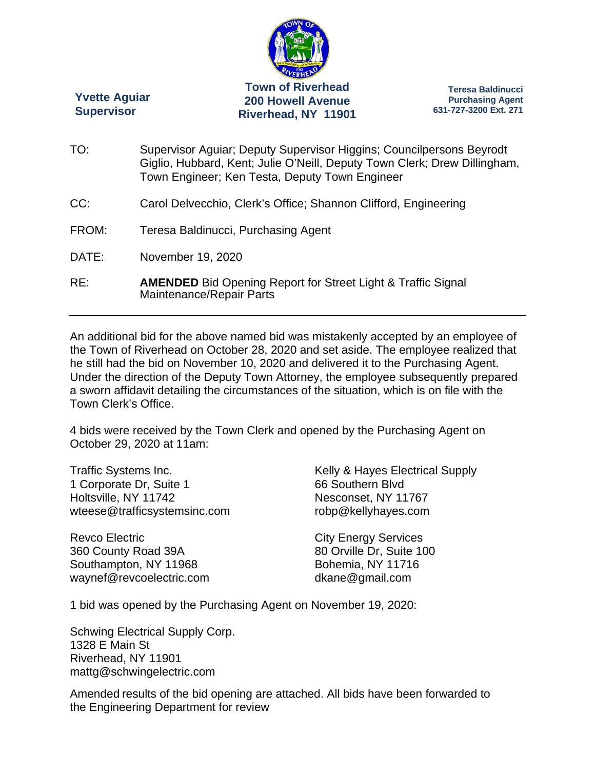

**Yvette Aguiar Supervisor** 

**Teresa Baldinucci Purchasing Agent 631-727-3200 Ext. 271** 

- TO: Supervisor Aguiar; Deputy Supervisor Higgins; Councilpersons Beyrodt Giglio, Hubbard, Kent; Julie O'Neill, Deputy Town Clerk; Drew Dillingham, Town Engineer; Ken Testa, Deputy Town Engineer
- CC: Carol Delvecchio, Clerk's Office; Shannon Clifford, Engineering
- FROM: Teresa Baldinucci, Purchasing Agent
- DATE: November 19, 2020
- RE: **AMENDED** Bid Opening Report for Street Light & Traffic Signal Maintenance/Repair Parts

An additional bid for the above named bid was mistakenly accepted by an employee of the Town of Riverhead on October 28, 2020 and set aside. The employee realized that he still had the bid on November 10, 2020 and delivered it to the Purchasing Agent. Under the direction of the Deputy Town Attorney, the employee subsequently prepared a sworn affidavit detailing the circumstances of the situation, which is on file with the Town Clerk's Office.

4 bids were received by the Town Clerk and opened by the Purchasing Agent on October 29, 2020 at 11am:

Traffic Systems Inc. 1 Corporate Dr, Suite 1 Holtsville, NY 11742 wteese@trafficsystemsinc.com

Revco Electric 360 County Road 39A Southampton, NY 11968 waynef@revcoelectric.com Kelly & Hayes Electrical Supply 66 Southern Blvd Nesconset, NY 11767 robp@kellyhayes.com

City Energy Services 80 Orville Dr, Suite 100 Bohemia, NY 11716 dkane@gmail.com

1 bid was opened by the Purchasing Agent on November 19, 2020:

Schwing Electrical Supply Corp. 1328 E Main St Riverhead, NY 11901 mattg@schwingelectric.com

Amended results of the bid opening are attached. All bids have been forwarded to the Engineering Department for review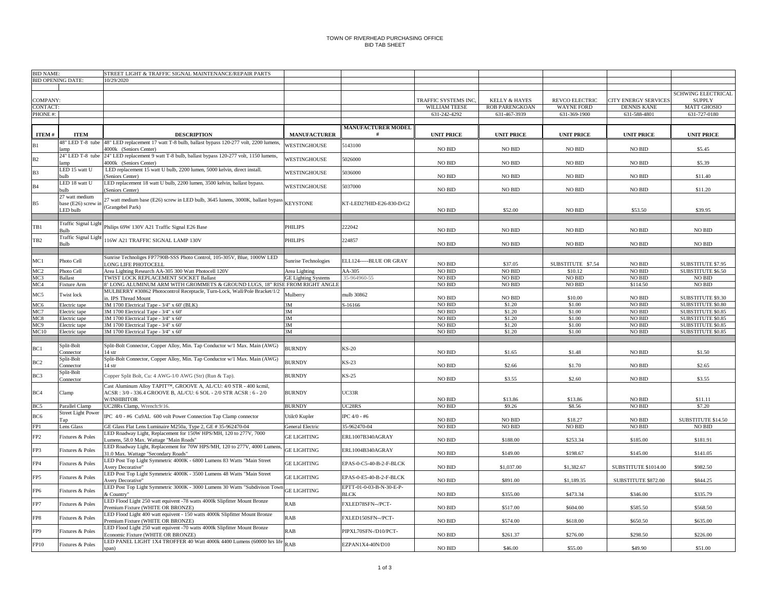## TOWN OF RIVERHEAD PURCHASING OFFICEBID TAB SHEET

| <b>BID NAME:</b> |                             | STREET LIGHT & TRAFFIC SIGNAL MAINTENANCE/REPAIR PARTS                          |                             |                           |                      |                          |                       |                             |                           |
|------------------|-----------------------------|---------------------------------------------------------------------------------|-----------------------------|---------------------------|----------------------|--------------------------|-----------------------|-----------------------------|---------------------------|
|                  | <b>BID OPENING DATE:</b>    | 10/29/2020                                                                      |                             |                           |                      |                          |                       |                             |                           |
|                  |                             |                                                                                 |                             |                           |                      |                          |                       |                             |                           |
|                  |                             |                                                                                 |                             |                           |                      |                          |                       |                             | <b>SCHWING ELECTRICAL</b> |
| COMPANY:         |                             |                                                                                 |                             |                           | TRAFFIC SYSTEMS INC. | <b>KELLY &amp; HAYES</b> | <b>REVCO ELECTRIC</b> | <b>CITY ENERGY SERVICES</b> | <b>SUPPLY</b>             |
| ONTACT           |                             |                                                                                 |                             |                           | WILLIAM TEESE        | <b>ROB PARENGKOAN</b>    | <b>WAYNE FORD</b>     | <b>DENNIS KANE</b>          | <b>MATT GHOSIO</b>        |
| PHONE #:         |                             |                                                                                 |                             |                           | 631-242-4292         | 631-467-3939             | 631-369-1900          | 631-588-4801                | 631-727-0180              |
|                  |                             |                                                                                 |                             |                           |                      |                          |                       |                             |                           |
|                  |                             |                                                                                 |                             |                           |                      |                          |                       |                             |                           |
|                  |                             |                                                                                 |                             | <b>MANUFACTURER MODEL</b> |                      |                          |                       |                             |                           |
| ITEM#            | <b>ITEM</b>                 | <b>DESCRIPTION</b>                                                              | <b>MANUFACTURER</b>         |                           | <b>UNIT PRICE</b>    | <b>UNIT PRICE</b>        | <b>UNIT PRICE</b>     | <b>UNIT PRICE</b>           | <b>UNIT PRICE</b>         |
|                  | 48" LED T-8 tube            | 48" LED replacement 17 watt T-8 bulb, ballast bypass 120-277 volt, 2200 lumens  | <b>WESTINGHOUSE</b>         | 5143100                   |                      |                          |                       |                             |                           |
|                  | amn                         | 4000k (Seniors Center)                                                          |                             |                           | <b>NO BID</b>        | NO BID                   | <b>NO BID</b>         | NO BID                      | \$5.45                    |
|                  | 24" LED T-8 tube            | 24" LED replacement 9 watt T-8 bulb, ballast bypass 120-277 volt, 1150 lumens,  |                             |                           |                      |                          |                       |                             |                           |
| B2               | amn                         | 4000k (Seniors Center)                                                          | WESTINGHOUSE                | 5026000                   | NO BID               | <b>NO BID</b>            | <b>NO BID</b>         | NO BID                      | \$5.39                    |
|                  | LED 15 watt U               | LED replacement 15 watt U bulb, 2200 lumen, 5000 kelvin, direct install.        |                             |                           |                      |                          |                       |                             |                           |
| B <sub>3</sub>   | aib                         |                                                                                 | WESTINGHOUSE                | 5036000                   | NO BID               | $NO$ $\rm BID$           | <b>NO BID</b>         | NO BID                      | \$11.40                   |
|                  |                             | (Seniors Center)                                                                |                             |                           |                      |                          |                       |                             |                           |
| <b>B4</b>        | LED 18 watt U               | LED replacement 18 watt U bulb, 2200 lumen, 3500 kelvin, ballast bypass.        | WESTINGHOUSE                | 5037000                   |                      |                          |                       |                             |                           |
|                  | dluo                        | (Seniors Center)                                                                |                             |                           | $NO$ $\rm BID$       | $NO$ $\rm BID$           | NO BID                | NO BID                      | \$11.20                   |
|                  | 27 watt medium              | 27 watt medium base (E26) screw in LED bulb, 3645 lunens, 3000K, ballast bypas: |                             |                           |                      |                          |                       |                             |                           |
| <b>B5</b>        | base (E26) screw in         |                                                                                 | <b>KEYSTONE</b>             | KT-LED27HID-E26-830-D/G2  |                      |                          |                       |                             |                           |
|                  | <b>ED</b> bulb              | (Grangebel Park)                                                                |                             |                           | NO BID               | \$52.00                  | <b>NO BID</b>         | \$53.50                     | \$39.95                   |
|                  |                             |                                                                                 |                             |                           |                      |                          |                       |                             |                           |
|                  | <b>Traffic Signal Light</b> |                                                                                 |                             |                           |                      |                          |                       |                             |                           |
| TB1              | Յո⊪                         | Philips 69W 130V A21 Traffic Signal E26 Base                                    | <b>PHILIPS</b>              | 222042                    | <b>NO BID</b>        | <b>NO BID</b>            | <b>NO BID</b>         | NO BID                      | NO BID                    |
|                  | <b>Traffic Signal Light</b> |                                                                                 |                             |                           |                      |                          |                       |                             |                           |
| TB <sub>2</sub>  | <b>Bulb</b>                 | 116W A21 TRAFFIC SIGNAL LAMP 130V                                               | PHILIPS                     | 224857                    | $NO$ $\rm BID$       | $NO$ $\rm BID$           | NO BID                | NO BID                      | $NO$ $\rm BID$            |
|                  |                             |                                                                                 |                             |                           |                      |                          |                       |                             |                           |
|                  |                             |                                                                                 |                             |                           |                      |                          |                       |                             |                           |
| MC1              | Photo Cell                  | Sunrise Technoliges FP7790B-SSS Photo Control, 105-305V, Blue, 1000W LED        | <b>Sunrise Technologies</b> | ELL124-----BLUE OR GRAY   |                      |                          |                       |                             |                           |
|                  |                             | LONG LIFE PHOTOCELL                                                             |                             |                           | <b>NO BID</b>        | \$37.05                  | SUBSTITUTE \$7.54     | NO BID                      | SUBSTITUTE \$7.95         |
| MC2              | Photo Cell                  | Area Lighting Research AA-305 300 Watt Photocell 120V                           | Area Lighting               | AA-305                    | <b>NO BID</b>        | <b>NO BID</b>            | \$10.12               | NO BID                      | <b>SUBSTITUTE \$6.50</b>  |
| MC <sub>3</sub>  | <b>Ballast</b>              | TWIST LOCK REPLACEMENT SOCKET Ballast                                           | <b>GE Lighting Systems</b>  | 35-964960-55              | <b>NO BID</b>        | <b>NO BID</b>            | <b>NO BID</b>         | <b>NO BID</b>               | $NO$ $\rm BID$            |
| MC <sub>4</sub>  | Fixture Arm                 | 8' LONG ALUMINUM ARM WITH GROMMETS & GROUND LUGS, 18" RISE FROM RIGHT ANGLE     |                             |                           | <b>NO BID</b>        | <b>NO BID</b>            | NO BID                | \$114.50                    | <b>NO BID</b>             |
|                  |                             | MULBERRY #30862 Photocontrol Receptacle, Turn-Lock, Wall/Pole Bracket/1/2       |                             |                           |                      |                          |                       |                             |                           |
| MC5              | Twist lock                  | in. IPS Thread Mount                                                            | Mulberry                    | nulb 30862                | $NO$ $\rm BID$       | NO BID                   | \$10.00               | NO BID                      | SUBSTITUTE \$9.30         |
| MC6              | Electric tape               | 3M 1700 Electrical Tape - 3/4" x 60' (BLK)                                      | 3M                          | S-16166                   | NO BID               | \$1.20                   | \$1.00                | NO BID                      | SUBSTITUTE \$0.80         |
|                  |                             |                                                                                 | 3M                          |                           | NO BID               | \$1.20                   | \$1.00                | NO BID                      | SUBSTITUTE \$0.85         |
| MC7              | Electric tape               | 3M 1700 Electrical Tape - 3/4" x 60"                                            |                             |                           |                      |                          |                       |                             |                           |
| MC8              | Electric tape               | 3M 1700 Electrical Tape - 3/4" x 60'                                            | 3M                          |                           | NO BID               | \$1,20                   | \$1.00                | <b>NO BID</b>               | <b>SUBSTITUTE \$0.85</b>  |
| MC9              | Electric tape               | 3M 1700 Electrical Tape - 3/4" x 60'                                            | 3M                          |                           | <b>NO BID</b>        | \$1.20                   | \$1.00                | <b>NO BID</b>               | SUBSTITUTE \$0.85         |
| MC10             | Electric tape               | 3M 1700 Electrical Tape - 3/4" x 60'                                            | 3M                          |                           | NO BID               | \$1.20                   | \$1.00                | <b>NO BID</b>               | SUBSTITUTE \$0.85         |
|                  |                             |                                                                                 |                             |                           |                      |                          |                       |                             |                           |
|                  | Split-Bolt                  | Split-Bolt Connector, Copper Alloy, Min. Tap Conductor w/1 Max. Main (AWG)      |                             |                           |                      |                          |                       |                             |                           |
| BC1              | Connector                   | $14$ str                                                                        | <b>BURNDY</b>               | KS-20                     | <b>NO BID</b>        | \$1.65                   | \$1.48                | <b>NO BID</b>               | \$1.50                    |
|                  | Split-Bolt                  | Split-Bolt Connector, Copper Alloy, Min. Tap Conductor w/1 Max. Main (AWG)      |                             |                           |                      |                          |                       |                             |                           |
| BC2              | Connector                   | 14 str                                                                          | <b>BURNDY</b>               | <b>KS-23</b>              | NO BID               | \$2.66                   | \$1.70                | <b>NO BID</b>               | \$2.65                    |
|                  |                             |                                                                                 |                             |                           |                      |                          |                       |                             |                           |
| BC3              | Split-Bolt                  | Copper Split Bolt, Cu: 4 AWG-1/0 AWG (Str) (Run & Tap)                          | <b>BURNDY</b>               | <b>KS-25</b>              |                      |                          |                       |                             |                           |
|                  | `onnector                   |                                                                                 |                             |                           | <b>NO BID</b>        | \$3.55                   | \$2.60                | NO BID                      | \$3.55                    |
|                  |                             | Cast Aluminum Allov TAPIT <sup>TM</sup> , GROOVE A. AL/CU: 4/0 STR - 400 kcmil. |                             |                           |                      |                          |                       |                             |                           |
| BC4              | Clamp                       | ACSR: 3/0 - 336.4 GROOVE B, AL/CU: 6 SOL - 2/0 STR ACSR: 6 - 2/0                | <b>BURNDY</b>               | UC33R                     |                      |                          |                       |                             |                           |
|                  |                             | <b>W/INHIBITOR</b>                                                              |                             |                           | <b>NO BID</b>        | \$13.86                  | \$13.86               | <b>NO BID</b>               | \$11.11                   |
| BC5              | Parallel Clamp              | UC28Rs Clamp, Wrench:9/16.                                                      | <b>BURNDY</b>               | UC28RS                    | NO BID               | \$9.26                   | \$8.56                | NO BID                      | \$7.20                    |
|                  | <b>Street Light Power</b>   |                                                                                 |                             |                           |                      |                          |                       |                             |                           |
| BC6              | Гar                         | IPC 4/0 - #6 Cu9AL 600 volt Power Connection Tap Clamp connector                | Utilc0 Kupler               | IPC 4/0 - #6              | <b>NO BID</b>        | <b>NO BID</b>            | \$18.27               | <b>NO BID</b>               | SUBSTITUTE \$14.50        |
| FP1              | Lens Glass                  | GE Glass Flat Lens Luminaire M250a, Type 2, GE # 35-962470-04                   | General Electric            | 35-962470-04              | <b>NO BID</b>        | <b>NO BID</b>            | NO BID                | <b>NO BID</b>               | <b>NO BID</b>             |
|                  |                             | LED Roadway Light, Replacement for 150W HPS/MH, 120 to 277V, 7000               |                             |                           |                      |                          |                       |                             |                           |
| FP2              | Fixtures & Poles            | Lumens, 58.0 Max. Wattage "Main Roads'                                          | <b>GE LIGHTING</b>          | ERL1007B340AGRAY          | $\rm NO$ $\rm BID$   | \$188.00                 | \$253.34              | \$185.00                    | \$181.91                  |
|                  |                             |                                                                                 |                             |                           |                      |                          |                       |                             |                           |
| FP3              | Fixtures & Poles            | LED Roadway Light, Replacement for 70W HPS/MH, 120 to 277V, 4000 Lumens         | <b>GE LIGHTING</b>          | ERL1004B340AGRAY          |                      |                          |                       |                             |                           |
|                  |                             | 31.0 Max. Wattage "Secondary Roads"                                             |                             |                           | NO BID               | \$149.00                 | \$198.67              | \$145.00                    | \$141.05                  |
| FP4              | Fixtures & Poles            | LED Post Top Light Symmetric 4000K - 6800 Lumens 83 Watts "Main Street          | <b>GE LIGHTING</b>          | EPAS-0-C5-40-B-2-F-BLCK   |                      |                          |                       |                             |                           |
|                  |                             | Avery Decorative"                                                               |                             |                           | NO BID               | \$1,037.00               | \$1,382.67            | SUBSTITUTE \$1014.00        | \$982.50                  |
|                  |                             | LED Post Top Light Symmetric 4000K - 3500 Lumens 48 Watts "Main Street          |                             |                           |                      |                          |                       |                             |                           |
| FP5              | Fixtures & Poles            | <b>Avery Decorative"</b>                                                        | <b>GE LIGHTING</b>          | EPAS-0-E5-40-B-2-F-BLCK   | $\rm NO$ $\rm BID$   | \$891.00                 | \$1,189.35            | SUBSTITUTE \$872.00         | \$844.25                  |
|                  |                             | LED Post Top Light Symmetric 3000K - 3000 Lumens 30 Watts "Subdivison Tow       |                             | EPTT-01-0-03-B-N-30-E-P-  |                      |                          |                       |                             |                           |
| FP6              | <b>Fixtures &amp; Poles</b> | & Country"                                                                      | <b>GE LIGHTING</b>          | <b>BLCK</b>               | <b>NO BID</b>        | \$355.00                 | \$473.34              | \$346.00                    | \$335.79                  |
|                  |                             | LED Flood Light 250 watt equivent -78 watts 4000k Slipfitter Mount Bronze       |                             |                           |                      |                          |                       |                             |                           |
| FP7              | <b>Fixtures &amp; Poles</b> |                                                                                 | <b>RAB</b>                  | FXLED78SFN--/PCT-         |                      |                          |                       |                             |                           |
|                  |                             | Premium Fixture (WHITE OR BRONZE)                                               |                             |                           | $\rm NO$ $\rm BID$   | \$517.00                 | \$604.00              | \$585.50                    | \$568.50                  |
| FP8              | Fixtures & Poles            | LED Flood Light 400 watt equivent - 150 watts 4000k Slipfitter Mount Bronze     | <b>RAB</b>                  | FXLED150SFN--/PCT-        |                      |                          |                       |                             |                           |
|                  |                             | remium Fixture (WHITE OR BRONZE)                                                |                             |                           | $\rm NO$ $\rm BID$   | \$574.00                 | \$618.00              | \$650.50                    | \$635.00                  |
| FP9              | Fixtures & Poles            | LED Flood Light 250 watt equivent -70 watts 4000k Slipfitter Mount Bronze       | <b>RAB</b>                  | PIPXL70SFN-/D10/PCT-      |                      |                          |                       |                             |                           |
|                  |                             | Economic Fixture (WHITE OR BRONZE)                                              |                             |                           | <b>NO BID</b>        | \$261.37                 | \$276.00              | \$298.50                    | \$226.00                  |
|                  |                             | LED PANEL LIGHT 1X4 TROFFER 40 Watt 4000k 4400 Lumens (60000 hrs life           |                             |                           |                      |                          |                       |                             |                           |
| FP10             | Fixtures & Poles            | span)                                                                           | <b>RAB</b>                  | EZPAN1X4-40N/D10          | $\rm NO$ $\rm BID$   | \$46.00                  | \$55.00               | \$49.90                     | \$51.00                   |
|                  |                             |                                                                                 |                             |                           |                      |                          |                       |                             |                           |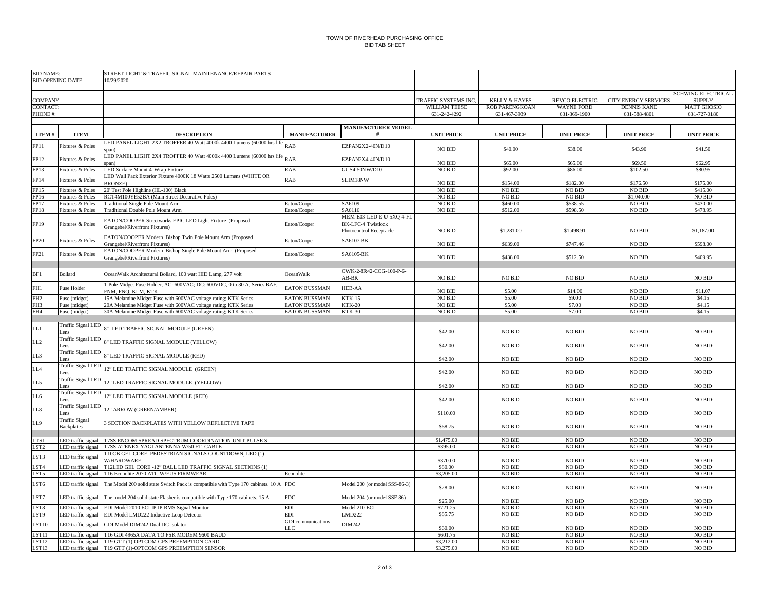## TOWN OF RIVERHEAD PURCHASING OFFICEBID TAB SHEET

| <b>BID NAME:</b><br>STREET LIGHT & TRAFFIC SIGNAL MAINTENANCE/REPAIR PARTS |                                        |                                                                                      |                           |                               |                      |                          |                   |                      |                           |
|----------------------------------------------------------------------------|----------------------------------------|--------------------------------------------------------------------------------------|---------------------------|-------------------------------|----------------------|--------------------------|-------------------|----------------------|---------------------------|
|                                                                            | <b>BID OPENING DATE:</b><br>10/29/2020 |                                                                                      |                           |                               |                      |                          |                   |                      |                           |
|                                                                            |                                        |                                                                                      |                           |                               |                      |                          |                   |                      |                           |
|                                                                            |                                        |                                                                                      |                           |                               |                      |                          |                   |                      | <b>SCHWING ELECTRICAL</b> |
| OMPANY:                                                                    |                                        |                                                                                      |                           |                               | TRAFFIC SYSTEMS INC. | <b>KELLY &amp; HAYES</b> | REVCO ELECTRIC    | CITY ENERGY SERVICES | <b>SUPPLY</b>             |
| ONTACT:                                                                    |                                        |                                                                                      |                           |                               | WILLIAM TEESE        | <b>ROB PARENGKOAN</b>    | <b>WAYNE FORD</b> | <b>DENNIS KANE</b>   | <b>MATT GHOSIO</b>        |
| PHONE #:                                                                   |                                        |                                                                                      |                           |                               | 631-242-4292         | 631-467-3939             | 631-369-1900      | 631-588-4801         | 631-727-0180              |
|                                                                            |                                        |                                                                                      |                           |                               |                      |                          |                   |                      |                           |
|                                                                            |                                        |                                                                                      |                           | <b>MANUFACTURER MODEL</b>     |                      |                          |                   |                      |                           |
| ITEM #                                                                     | <b>ITEM</b>                            | <b>DESCRIPTION</b>                                                                   | <b>MANUFACTURER</b>       | - #                           | <b>UNIT PRICE</b>    | <b>UNIT PRICE</b>        | <b>UNIT PRICE</b> | <b>UNIT PRICE</b>    | <b>UNIT PRICE</b>         |
|                                                                            |                                        | LED PANEL LIGHT 2X2 TROFFER 40 Watt 4000k 4400 Lumens (60000 hrs life                |                           |                               |                      |                          |                   |                      |                           |
| FP11                                                                       | Fixtures & Poles                       |                                                                                      | <b>RAB</b>                | EZPAN2X2-40N/D10              | $\rm NO$ $\rm BID$   | \$40.00                  | \$38.00           | \$43.90              | \$41.50                   |
|                                                                            |                                        | span)<br>LED PANEL LIGHT 2X4 TROFFER 40 Watt 4000k 4400 Lumens (60000 hrs life RAB   |                           |                               |                      |                          |                   |                      |                           |
| FP12                                                                       | Fixtures & Poles                       | nan)                                                                                 |                           | EZPAN2X4-40N/D10              | <b>NO BID</b>        | \$65.00                  | \$65.00           | \$69.50              | \$62.95                   |
| FP13                                                                       | Fixtures & Poles                       | LED Surface Mount 4' Wrap Fixture                                                    | <b>RAB</b>                | GUS4-50NW/D10                 | <b>NO BID</b>        | \$92.00                  | \$86.00           | \$102.50             | \$80.95                   |
|                                                                            |                                        | LED Wall Pack Exterior Fixture 4000K 18 Watts 2500 Lumens (WHITE OR                  |                           |                               |                      |                          |                   |                      |                           |
| FP14                                                                       | Fixtures & Poles                       | <b>BRONZE)</b>                                                                       | <b>RAB</b>                | SLIM18NW                      | $NO$ $\rm BID$       | \$154.00                 | \$182.00          | \$176.50             | \$175.00                  |
| FP15                                                                       | Fixtures & Poles                       | 20' Test Pole Highline (HL-100) Black                                                |                           |                               | $NO$ $\rm BID$       | <b>NO BID</b>            | <b>NO BID</b>     | NO BID               | \$415.00                  |
| FP16                                                                       | Fixtures & Poles                       | RCT4M100YE52BA (Main Street Decorative Poles)                                        |                           |                               | <b>NO BID</b>        | <b>NO BID</b>            | NO BID            | \$1,040.00           | <b>NO BID</b>             |
| FP17                                                                       | Fixtures & Poles                       | <b>Traditional Single Pole Mount Arm</b>                                             | daton/Cooper              | SA6109                        | <b>NO BID</b>        | \$460.00                 | \$538.55          | <b>NO BID</b>        | \$430.00                  |
|                                                                            |                                        |                                                                                      |                           | SA6116                        | $\rm NO$ $\rm BID$   | \$512.00                 | \$598.50          | NO BID               | \$478.95                  |
| FP18                                                                       | Fixtures & Poles                       | Traditional Double Pole Mount Arm                                                    | Eaton/Cooper              |                               |                      |                          |                   |                      |                           |
|                                                                            |                                        | EATON/COOPER Streetworks EPIC LED Light Fixture (Proposed                            |                           | MEM-E03-LED-E-U-5XQ-4-FL      |                      |                          |                   |                      |                           |
| FP19                                                                       | Fixtures & Poles                       | Grangebel/Riverfront Fixtures)                                                       | Eaton/Cooper              | <b>BK-LFC-4 Twistlock</b>     |                      |                          | \$1,498.91        |                      | \$1,187.00                |
|                                                                            |                                        |                                                                                      |                           | Photocontrol Receptacle       | NO BID               | \$1,281.00               |                   | NO BID               |                           |
| FP20                                                                       | Fixtures & Poles                       | EATON/COOPER Modern Bishop Twin Pole Mount Arm (Proposed                             | Eaton/Cooper              | SA6107-BK                     |                      |                          |                   |                      |                           |
|                                                                            |                                        | Grangebel/Riverfront Fixtures)                                                       |                           |                               | <b>NO BID</b>        | \$639.00                 | \$747.46          | NO BID               | \$598.00                  |
| FP21                                                                       | Fixtures & Poles                       | EATON/COOPER Modern Bishop Single Pole Mount Arm (Proposed                           | Eaton/Cooper              | SA6105-BK                     |                      | \$438.00                 |                   |                      | \$409.95                  |
|                                                                            |                                        | Grangebel/Riverfront Fixtures)                                                       |                           |                               | $\rm NO$ $\rm BID$   |                          | \$512.50          | NO BID               |                           |
|                                                                            |                                        |                                                                                      |                           |                               |                      |                          |                   |                      |                           |
| BF1                                                                        | Bollard                                | OceanWalk Architectural Bollard, 100 watt HID Lamp, 277 volt                         | OceanWalk                 | OWK-2-8R42-COG-100-P-6-       |                      |                          |                   |                      |                           |
|                                                                            |                                        |                                                                                      |                           | AB-BK                         | <b>NO BID</b>        | <b>NO BID</b>            | <b>NO BID</b>     | NO BID               | <b>NO BID</b>             |
| FH1                                                                        | Fuse Holder                            | 1-Pole Midget Fuse Holder, AC: 600VAC; DC: 600VDC, 0 to 30 A, Series BAF,            | <b>EATON BUSSMAN</b>      | HEB-AA                        |                      |                          |                   |                      |                           |
|                                                                            |                                        | FNM, FNQ, KLM, KTK                                                                   |                           |                               | NO BID               | \$5.00                   | \$14.00           | NO BID               | \$11.07                   |
| FH <sub>2</sub>                                                            | Fuse (midget)                          | 15A Melamine Midget Fuse with 600VAC voltage rating; KTK Series                      | <b>EATON BUSSMAN</b>      | <b>KTK-15</b>                 | $NO$ $\rm BID$       | \$5.00                   | \$9.00            | <b>NO BID</b>        | \$4.15                    |
| FH <sub>3</sub>                                                            | Fuse (midget)                          | 20A Melamine Midget Fuse with 600VAC voltage rating: KTK Series                      | <b>ATON BUSSMAN</b>       | <b>KTK-20</b>                 | <b>NO BID</b>        | \$5.00                   | \$7.00            | <b>NO BID</b>        | \$4.15                    |
| FH4                                                                        | Fuse (midget)                          | 30A Melamine Midget Fuse with 600VAC voltage rating; KTK Series                      | <b>ATON BUSSMAN</b>       | <b>KTK-30</b>                 | <b>NO BID</b>        | \$5.00                   | \$7.00            | <b>NO BID</b>        | \$4.15                    |
|                                                                            |                                        |                                                                                      |                           |                               |                      |                          |                   |                      |                           |
| LL1                                                                        | Fraffic Signal LED                     | 8" LED TRAFFIC SIGNAL MODULE (GREEN)                                                 |                           |                               |                      |                          |                   |                      |                           |
|                                                                            | ens                                    |                                                                                      |                           |                               | \$42.00              | NO BID                   | <b>NO BID</b>     | NO BID               | $NO$ $\rm BID$            |
| LL2                                                                        | Traffic Signal LED                     | 8" LED TRAFFIC SIGNAL MODULE (YELLOW)                                                |                           |                               |                      |                          |                   |                      |                           |
|                                                                            | ens                                    |                                                                                      |                           |                               | \$42.00              | <b>NO BID</b>            | <b>NO BID</b>     | <b>NO BID</b>        | <b>NO BID</b>             |
| LL3                                                                        | <b>Traffic Signal LED</b>              | 8" LED TRAFFIC SIGNAL MODULE (RED)                                                   |                           |                               |                      |                          |                   |                      |                           |
|                                                                            | ens                                    |                                                                                      |                           |                               | \$42.00              | NO BID                   | <b>NO BID</b>     | <b>NO BID</b>        | NO BID                    |
| LL4                                                                        | Fraffic Signal LED                     | 12" LED TRAFFIC SIGNAL MODULE (GREEN)                                                |                           |                               |                      |                          |                   |                      |                           |
|                                                                            | ens                                    |                                                                                      |                           |                               | \$42.00              | NO BID                   | <b>NO BID</b>     | NO BID               | NO BID                    |
| LL5                                                                        | <b>Traffic Signal LED</b>              | 12" LED TRAFFIC SIGNAL MODULE (YELLOW)                                               |                           |                               |                      |                          |                   |                      |                           |
|                                                                            | ens                                    |                                                                                      |                           |                               | \$42.00              | NO BID                   | <b>NO BID</b>     | NO BID               | <b>NO BID</b>             |
| L6                                                                         | <b>Traffic Signal LED</b>              | 12" LED TRAFFIC SIGNAL MODULE (RED)                                                  |                           |                               |                      |                          |                   |                      |                           |
|                                                                            | ens                                    |                                                                                      |                           |                               | \$42.00              | $\rm NO$ $\rm BID$       | <b>NO BID</b>     | $\rm NO$ $\rm BID$   | $NO$ $\rm BID$            |
| $_{LL8}$                                                                   | <b>Traffic Signal LED</b>              | 12" ARROW (GREEN/AMBER)                                                              |                           |                               |                      |                          |                   |                      |                           |
|                                                                            | ens                                    |                                                                                      |                           |                               | \$110.00             | <b>NO BID</b>            | <b>NO BID</b>     | NO BID               | <b>NO BID</b>             |
| LL9                                                                        | <b>Traffic Signal</b>                  | 3 SECTION BACKPLATES WITH YELLOW REFLECTIVE TAPE                                     |                           |                               |                      |                          |                   |                      |                           |
|                                                                            | <b>Backplates</b>                      |                                                                                      |                           |                               | \$68.75              | <b>NO BID</b>            | <b>NO BID</b>     | <b>NO BID</b>        | <b>NO BID</b>             |
|                                                                            |                                        |                                                                                      |                           |                               |                      |                          |                   |                      |                           |
| TS1                                                                        | ED traffic signal                      | T7SS ENCOM SPREAD SPECTRUM COORDINATION UNIT PULSE S                                 |                           |                               | \$1,475.00           | <b>NO BID</b>            | <b>NO BID</b>     | <b>NO BID</b>        | <b>NO BID</b>             |
| LST2                                                                       | LED traffic signal                     | T7SS ATENEX YAGI ANTENNA W/50 FT. CABLE                                              |                           |                               | \$395.00             | <b>NO BID</b>            | <b>NO BID</b>     | NO BID               | <b>NO BID</b>             |
|                                                                            |                                        | T10CB GEL CORE PEDESTRIAN SIGNALS COUNTDOWN, LED (1)                                 |                           |                               |                      |                          |                   |                      |                           |
| ST3                                                                        | LED traffic signal                     | <b>W/HARDWARE</b>                                                                    |                           |                               | \$370.00             | <b>NO BID</b>            | <b>NO BID</b>     | <b>NO BID</b>        | <b>NO BID</b>             |
| ST <sub>4</sub>                                                            | LED traffic signal                     | T12LED GEL CORE -12" BALL LED TRAFFIC SIGNAL SECTIONS (1)                            |                           |                               | \$80.00              | NO BID                   | <b>NO BID</b>     | NO BID               | NO BID                    |
| ST5                                                                        | LED traffic signal                     | T16 Econolite 2070 ATC W/EUS FIRMWEAR                                                | Econolite                 |                               | \$3,205.00           | <b>NO BID</b>            | <b>NO BID</b>     | NO BID               | <b>NO BID</b>             |
|                                                                            |                                        |                                                                                      |                           |                               |                      |                          |                   |                      |                           |
| ST6                                                                        | ED traffic signal                      | The Model 200 solid state Switch Pack is compatible with Type 170 cabinets. 10 A PDC |                           | Model 200 (or model SSS-86-3) | \$28.00              | <b>NO BID</b>            | <b>NO BID</b>     | <b>NO BID</b>        | NO BID                    |
|                                                                            |                                        |                                                                                      |                           |                               |                      |                          |                   |                      |                           |
| LST7                                                                       | LED traffic signal                     | The model 204 solid state Flasher is compatible with Type 170 cabinets. 15 A         | <b>PDC</b>                | Model 204 (or model SSF 86)   | \$25.00              | NO BID                   | <b>NO BID</b>     | <b>NO BID</b>        | NO BID                    |
| ST8                                                                        | LED traffic signal                     | EDI Model 2010 ECLIP IP RMS Signal Monitor                                           | <b>EDI</b>                | Model 210 ECL                 | \$721.25             | NO BID                   | <b>NO BID</b>     | <b>NO BID</b>        | NO BID                    |
| ST9                                                                        | LED traffic signal                     | EDI Model LMD222 Inductive Loop Detector                                             | EDI                       | LMD222                        | \$85.75              | NO BID                   | <b>NO BID</b>     | NO BID               | $NO$ $\rm BID$            |
|                                                                            |                                        |                                                                                      | <b>GDI</b> communications |                               |                      |                          |                   |                      |                           |
| ST10                                                                       | LED traffic signal                     | GDI Model DIM242 Dual DC Isolator                                                    | LLC                       | DIM242                        | \$60.00              | <b>NO BID</b>            | <b>NO BID</b>     | <b>NO BID</b>        | <b>NO BID</b>             |
| ST11                                                                       | ED traffic signal                      | T16 GDI 4965A DATA TO FSK MODEM 9600 BAUD                                            |                           |                               | \$601.75             | <b>NO BID</b>            | <b>NO BID</b>     | <b>NO BID</b>        | <b>NO BID</b>             |
| ST12                                                                       | LED traffic signal                     | T19 GTT (1)-OPTCOM GPS PREEMPTION CARD                                               |                           |                               | \$3,212.00           | <b>NO BID</b>            | <b>NO BID</b>     | NO BID               | <b>NO BID</b>             |
| LST13                                                                      |                                        | LED traffic signal T19 GTT (1)-OPTCOM GPS PREEMPTION SENSOR                          |                           |                               | \$3,275.00           | NO BID                   | <b>NO BID</b>     | NO BID               | <b>NO BID</b>             |
|                                                                            |                                        |                                                                                      |                           |                               |                      |                          |                   |                      |                           |